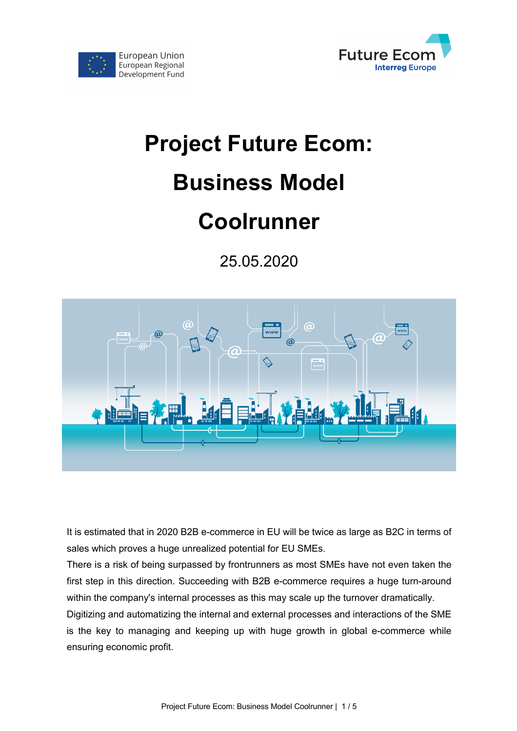

# **Project Future Ecom: Business Model Coolrunner**

European Union European Regional

Development Fund

25.05.2020



It is estimated that in 2020 B2B e-commerce in EU will be twice as large as B2C in terms of sales which proves a huge unrealized potential for EU SMEs.

There is a risk of being surpassed by frontrunners as most SMEs have not even taken the first step in this direction. Succeeding with B2B e-commerce requires a huge turn-around within the company's internal processes as this may scale up the turnover dramatically.

Digitizing and automatizing the internal and external processes and interactions of the SME is the key to managing and keeping up with huge growth in global e-commerce while ensuring economic profit.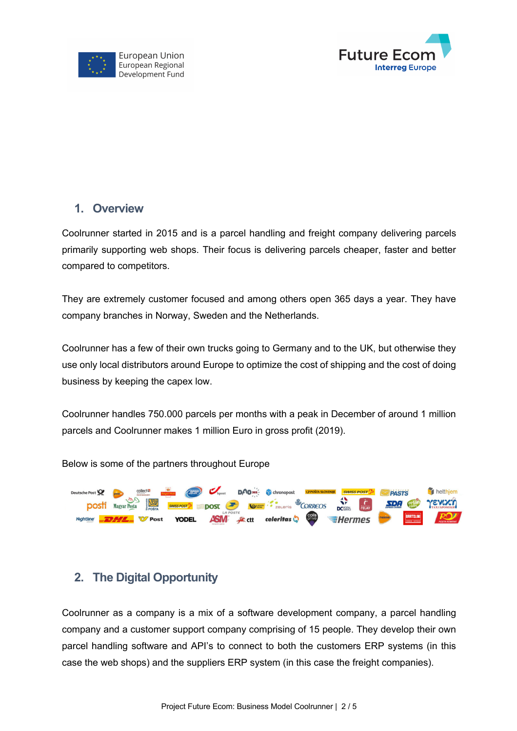



#### **1. Overview**

Coolrunner started in 2015 and is a parcel handling and freight company delivering parcels primarily supporting web shops. Their focus is delivering parcels cheaper, faster and better compared to competitors.

They are extremely customer focused and among others open 365 days a year. They have company branches in Norway, Sweden and the Netherlands.

Coolrunner has a few of their own trucks going to Germany and to the UK, but otherwise they use only local distributors around Europe to optimize the cost of shipping and the cost of doing business by keeping the capex low.

Coolrunner handles 750.000 parcels per months with a peak in December of around 1 million parcels and Coolrunner makes 1 million Euro in gross profit (2019).

Below is some of the partners throughout Europe



## **2. The Digital Opportunity**

Coolrunner as a company is a mix of a software development company, a parcel handling company and a customer support company comprising of 15 people. They develop their own parcel handling software and API's to connect to both the customers ERP systems (in this case the web shops) and the suppliers ERP system (in this case the freight companies).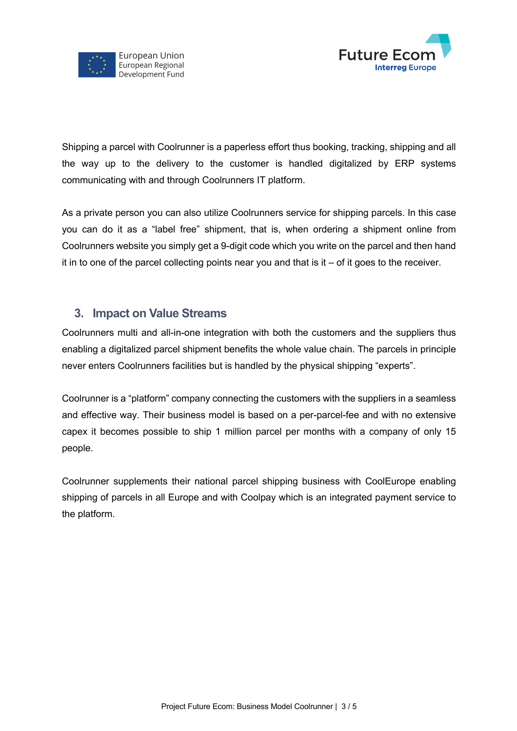



Shipping a parcel with Coolrunner is a paperless effort thus booking, tracking, shipping and all the way up to the delivery to the customer is handled digitalized by ERP systems communicating with and through Coolrunners IT platform.

As a private person you can also utilize Coolrunners service for shipping parcels. In this case you can do it as a "label free" shipment, that is, when ordering a shipment online from Coolrunners website you simply get a 9-digit code which you write on the parcel and then hand it in to one of the parcel collecting points near you and that is it – of it goes to the receiver.

#### **3. Impact on Value Streams**

Coolrunners multi and all-in-one integration with both the customers and the suppliers thus enabling a digitalized parcel shipment benefits the whole value chain. The parcels in principle never enters Coolrunners facilities but is handled by the physical shipping "experts".

Coolrunner is a "platform" company connecting the customers with the suppliers in a seamless and effective way. Their business model is based on a per-parcel-fee and with no extensive capex it becomes possible to ship 1 million parcel per months with a company of only 15 people.

Coolrunner supplements their national parcel shipping business with CoolEurope enabling shipping of parcels in all Europe and with Coolpay which is an integrated payment service to the platform.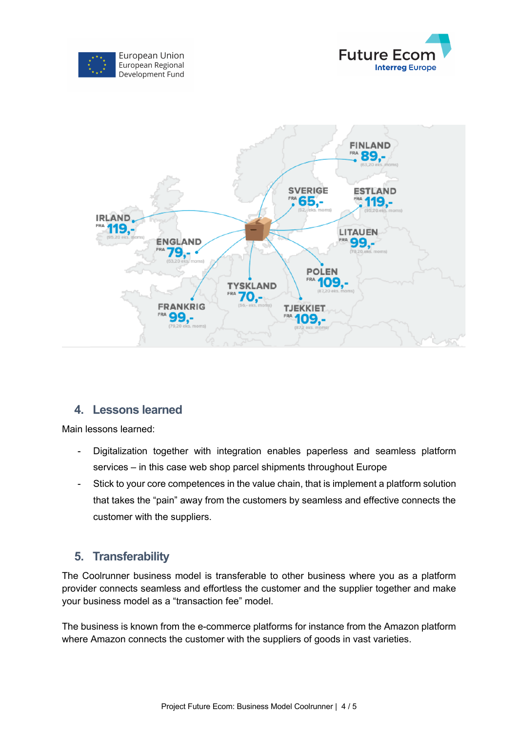





#### **4. Lessons learned**

Main lessons learned:

- Digitalization together with integration enables paperless and seamless platform services – in this case web shop parcel shipments throughout Europe
- Stick to your core competences in the value chain, that is implement a platform solution that takes the "pain" away from the customers by seamless and effective connects the customer with the suppliers.

### **5. Transferability**

The Coolrunner business model is transferable to other business where you as a platform provider connects seamless and effortless the customer and the supplier together and make your business model as a "transaction fee" model.

The business is known from the e-commerce platforms for instance from the Amazon platform where Amazon connects the customer with the suppliers of goods in vast varieties.